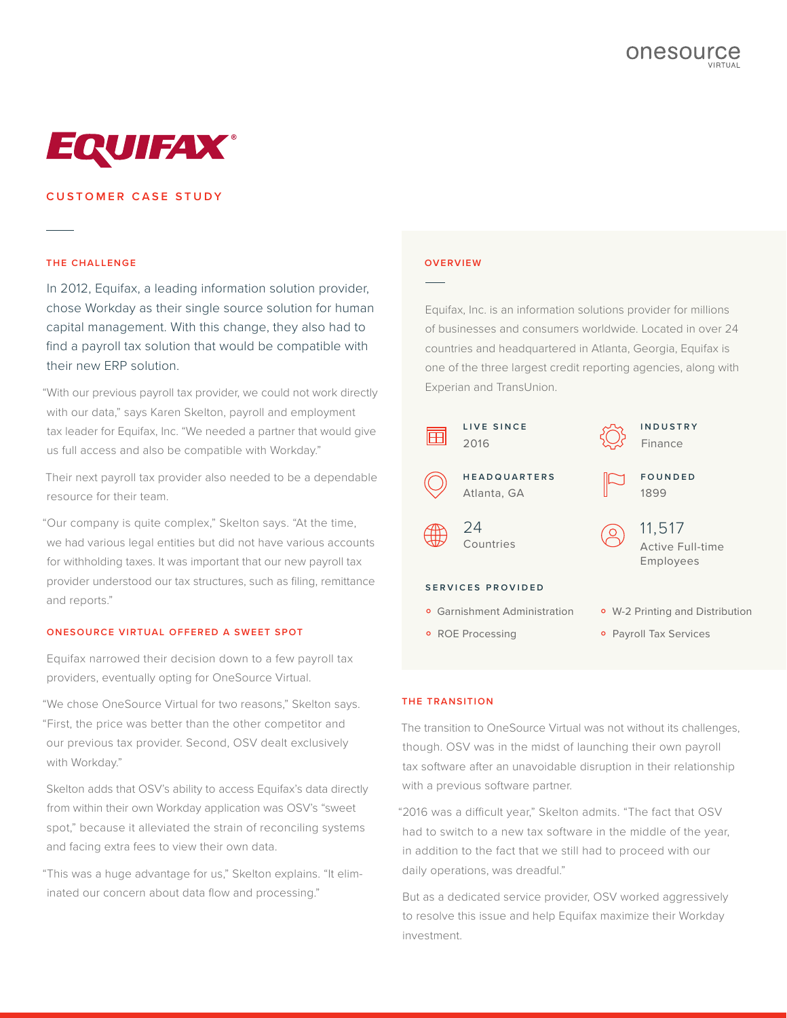

# **CUSTOMER CASE STUDY**

### **THE CHALLENGE**

In 2012, Equifax, a leading information solution provider, chose Workday as their single source solution for human capital management. With this change, they also had to find a payroll tax solution that would be compatible with their new ERP solution.

"With our previous payroll tax provider, we could not work directly with our data," says Karen Skelton, payroll and employment tax leader for Equifax, Inc. "We needed a partner that would give us full access and also be compatible with Workday."

Their next payroll tax provider also needed to be a dependable resource for their team.

"Our company is quite complex," Skelton says. "At the time, we had various legal entities but did not have various accounts for withholding taxes. It was important that our new payroll tax provider understood our tax structures, such as filing, remittance and reports."

#### **ONESOURCE VIRTUAL OFFERED A SWEET SPOT**

Equifax narrowed their decision down to a few payroll tax providers, eventually opting for OneSource Virtual.

"We chose OneSource Virtual for two reasons," Skelton says. "First, the price was better than the other competitor and our previous tax provider. Second, OSV dealt exclusively with Workday."

Skelton adds that OSV's ability to access Equifax's data directly from within their own Workday application was OSV's "sweet spot," because it alleviated the strain of reconciling systems and facing extra fees to view their own data.

"This was a huge advantage for us," Skelton explains. "It eliminated our concern about data flow and processing."

#### **OVERVIEW**

Equifax, Inc. is an information solutions provider for millions of businesses and consumers worldwide. Located in over 24 countries and headquartered in Atlanta, Georgia, Equifax is one of the three largest credit reporting agencies, along with Experian and TransUnion.



#### **THE TRANSITION**

The transition to OneSource Virtual was not without its challenges, though. OSV was in the midst of launching their own payroll tax software after an unavoidable disruption in their relationship with a previous software partner.

"2016 was a difficult year," Skelton admits. "The fact that OSV had to switch to a new tax software in the middle of the year, in addition to the fact that we still had to proceed with our daily operations, was dreadful."

But as a dedicated service provider, OSV worked aggressively to resolve this issue and help Equifax maximize their Workday investment.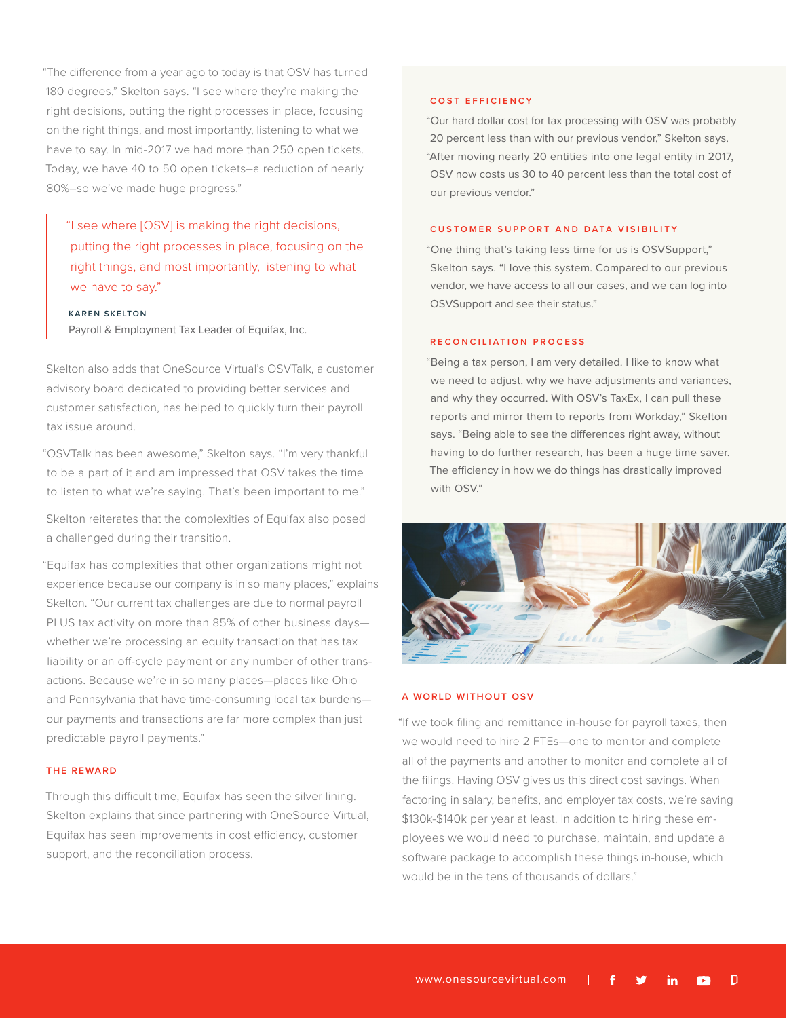"The difference from a year ago to today is that OSV has turned 180 degrees," Skelton says. "I see where they're making the right decisions, putting the right processes in place, focusing on the right things, and most importantly, listening to what we have to say. In mid-2017 we had more than 250 open tickets. Today, we have 40 to 50 open tickets–a reduction of nearly 80%–so we've made huge progress."

"I see where [OSV] is making the right decisions, putting the right processes in place, focusing on the right things, and most importantly, listening to what we have to say."

## **KAREN SKELTON**

Payroll & Employment Tax Leader of Equifax, Inc.

Skelton also adds that OneSource Virtual's OSVTalk, a customer advisory board dedicated to providing better services and customer satisfaction, has helped to quickly turn their payroll tax issue around.

"OSVTalk has been awesome," Skelton says. "I'm very thankful to be a part of it and am impressed that OSV takes the time to listen to what we're saying. That's been important to me."

Skelton reiterates that the complexities of Equifax also posed a challenged during their transition.

"Equifax has complexities that other organizations might not experience because our company is in so many places," explains Skelton. "Our current tax challenges are due to normal payroll PLUS tax activity on more than 85% of other business days whether we're processing an equity transaction that has tax liability or an off-cycle payment or any number of other transactions. Because we're in so many places—places like Ohio and Pennsylvania that have time-consuming local tax burdens our payments and transactions are far more complex than just predictable payroll payments."

### **THE REWARD**

Through this difficult time, Equifax has seen the silver lining. Skelton explains that since partnering with OneSource Virtual, Equifax has seen improvements in cost efficiency, customer support, and the reconciliation process.

### **COST EFFICIENCY**

"Our hard dollar cost for tax processing with OSV was probably 20 percent less than with our previous vendor," Skelton says. "After moving nearly 20 entities into one legal entity in 2017, OSV now costs us 30 to 40 percent less than the total cost of our previous vendor."

#### **CUSTOMER SUPPORT AND DATA VISIBILITY**

"One thing that's taking less time for us is OSVSupport," Skelton says. "I love this system. Compared to our previous vendor, we have access to all our cases, and we can log into OSVSupport and see their status."

# **RECONCILIATION PROCESS**

"Being a tax person, I am very detailed. I like to know what we need to adjust, why we have adjustments and variances, and why they occurred. With OSV's TaxEx, I can pull these reports and mirror them to reports from Workday," Skelton says. "Being able to see the differences right away, without having to do further research, has been a huge time saver. The efficiency in how we do things has drastically improved with OSV."



#### **A WORLD WITHOUT OSV**

"If we took filing and remittance in-house for payroll taxes, then we would need to hire 2 FTEs—one to monitor and complete all of the payments and another to monitor and complete all of the filings. Having OSV gives us this direct cost savings. When factoring in salary, benefits, and employer tax costs, we're saving \$130k-\$140k per year at least. In addition to hiring these employees we would need to purchase, maintain, and update a software package to accomplish these things in-house, which would be in the tens of thousands of dollars."